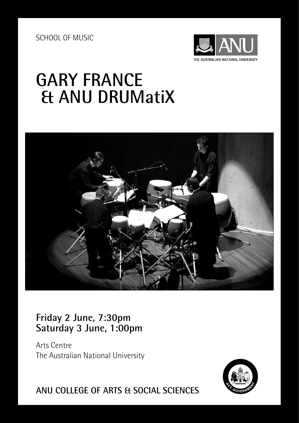SCHOOL OF MUSIC



# **GARY FRANCE & ANU DRUMatiX**



# **Friday 2 June, 7:30pm Saturday 3 June, 1:00pm**

Arts Centre The Australian National University



**ANU COLLEGE OF ARTS & SOCIAL SCIENCES**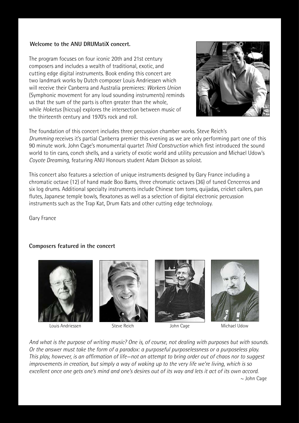## **Welcome to the ANU DRUMatiX concert.**

The program focuses on four iconic 20th and 21st century composers and includes a wealth of traditional, exotic, and cutting edge digital instruments. Book ending this concert are two landmark works by Dutch composer Louis Andriessen which will receive their Canberra and Australia premieres: *Workers Union* (Symphonic movement for any loud sounding instruments) reminds us that the sum of the parts is often greater than the whole, while *Hoketus* (hiccup) explores the intersection between music of the thirteenth century and 1970's rock and roll.



The foundation of this concert includes three percussion chamber works. Steve Reich's *Drumming* receives it's partial Canberra premier this evening as we are only performing part one of this 90 minute work. John Cage's monumental quartet *Third Construction* which first introduced the sound world to tin cans, conch shells, and a variety of exotic world and utility percussion and Michael Udow's *Coyote Dreaming*, featuring ANU Honours student Adam Dickson as soloist.

This concert also features a selection of unique instruments designed by Gary France including a chromatic octave (12) of hand made Boo Bams, three chromatic octaves (36) of tuned Cencerros and six log drums. Additional specialty instruments include Chinese tom toms, quijadas, cricket callers, pan flutes, Japanese temple bowls, flexatones as well as a selection of digital electronic percussion instruments such as the Trap Kat, Drum Kats and other cutting edge technology.

Gary France

## **Composers featured in the concert**



Louis Andriessen Steve Reich John Cage Michael Udow







*And what is the purpose of writing music? One is, of course, not dealing with purposes but with sounds. Or the answer must take the form of a paradox: a purposeful purposelessness or a purposeless play. This play, however, is an affirmation of life—not an attempt to bring order out of chaos nor to suggest improvements in creation, but simply a way of waking up to the very life we're living, which is so excellent once one gets one's mind and one's desires out of its way and lets it act of its own accord.*   $\sim$  John Cage  $\sim$  John Cage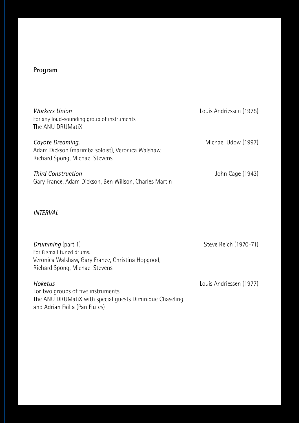## **Program**

| <b>Workers Union</b><br>For any loud-sounding group of instruments<br>The ANU DRUMatiX                  | Louis Andriessen (1975) |
|---------------------------------------------------------------------------------------------------------|-------------------------|
| Coyote Dreaming,<br>Adam Dickson (marimba soloist), Veronica Walshaw,<br>Richard Spong, Michael Stevens | Michael Udow (1997)     |
| <b>Third Construction</b><br>Gary France, Adam Dickson, Ben Willson, Charles Martin                     | John Cage (1943)        |

## *INTERVAL*

| Drumming (part 1)                                                                   | Steve Reich (1970-71)   |
|-------------------------------------------------------------------------------------|-------------------------|
| For 8 small tuned drums.                                                            |                         |
| Veronica Walshaw, Gary France, Christina Hopgood,<br>Richard Spong, Michael Stevens |                         |
| Hoketus                                                                             | Louis Andriessen (1977) |

For two groups of five instruments. The ANU DRUMatiX with special guests Diminique Chaseling and Adrian Failla (Pan Flutes)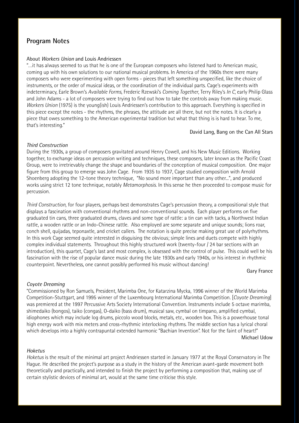## **Program Notes**

#### About *Workers Union* and Louis Andriessen

"…it has always seemed to us that he is one of the European composers who listened hard to American music, coming up with his own solutions to our national musical problems. In America of the 1960s there were many composers who were experimenting with open forms - pieces that left something unspecified, like the choice of instruments, or the order of musical ideas, or the coordination of the individual parts. Cage's experiments with indeterminacy, Earle Brown's *Available Forms*, Frederic Rzewski's *Coming Together*, Terry Riley's *In C*, early Philip Glass and John Adams - a lot of composers were trying to find out how to take the controls away from making music. *Workers Union* (1975) is the young(ish) Louis Andriessen's contribution to this approach. Everything is specified in this piece except the notes - the rhythms, the phrases, the attitude are all there, but not the notes. It is clearly a piece that owes something to the American experimental tradition but what that thing is is hard to hear. To me, that's interesting."

#### David Lang, Bang on the Can All Stars

#### *Third Construction*

During the 1930s, a group of composers gravitated around Henry Cowell, and his New Music Editions. Working together, to exchange ideas on percussion writing and techniques, these composers, later known as the Pacific Coast Group, were to irretrievably change the shape and boundaries of the conception of musical composition. One major figure from this group to emerge was John Cage. From 1935 to 1937, Cage studied composition with Arnold Shoenberg adopting the 12-tone theory technique, "No sound more important than any other...", and produced works using strict 12 tone technique, notably *Metamorphosis*. In this sense he then proceeded to compose music for percussion.

*Third Construction,* for four players, perhaps best demonstrates Cage's percussion theory, a compositional style that displays a fascination with conventional rhythms and non-conventional sounds. Each player performs on five graduated tin cans, three graduated drums, claves and some type of rattle: a tin can with tacks, a Northwest Indian rattle, a wooden rattle or an Indo-Chinese rattle. Also employed are some separate and unique sounds; lions roar, conch shell, quijadas, teponaxtle, and cricket callers. The notation is quite precise making great use of polyrhythms. In this work Cage seemed quite interested in disguising the obvious; simple lines and duets compete with highly complex individual statements. Throughout this highly structured work (twenty-four / 24 bar sections with an introduction), this quartet, Cage's last and most complex, is obsessed with the control of pulse. This could well be his fascination with the rise of popular dance music during the late 1930s and early 1940s, or his interest in rhythmic counterpoint. Nevertheless, one cannot possibly performed his music without dancing!

#### Gary France

#### *Coyote Dreaming*

"Commissioned by Ron Samuels, President, Marimba One, for Katarzina Mycka, 1996 winner of the World Marimba Competition-Stuttgart, and 1995 winner of the Luxembourg International Marimba Competition. [*Coyote Dreaming*] was premiered at the 1997 Percussive Arts Society International Convention. Instruments include 5 octave marimba, shimedaiko (bongos), taiko (congas), O-daiko (bass drum), musical saw, cymbal on timpano, amplified cymbal, idiophones which may include log drums, piccolo wood blocks, metals, etc., wooden box. This is a powerhouse tonal high energy work with mix meters and cross-rhythmic interlocking rhythms. The middle section has a lyrical choral which develops into a highly contrapuntal extended harmonic "Bachian Invention". Not for the faint of heart!" Michael Udow

#### *Hoketus*

*Hoketus* is the result of the minimal art project Andriessen started in January 1977 at the Royal Conservatory in The Hague. He described the project's purpose as a study in the history of the American avant-garde movement both theoretically and practically, and intended to finish the project by performing a composition that, making use of certain stylistic devices of minimal art, would at the same time criticise this style.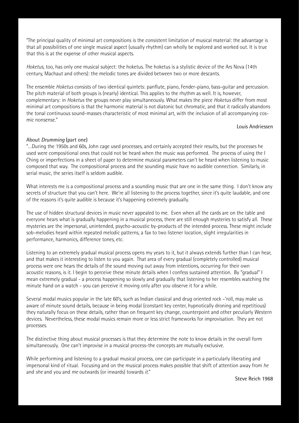"The principal quality of minimal art compositions is the consistent limitation of musical material: the advantage is that all possibilities of one single musical aspect (usually rhythm) can wholly be explored and worked out. It is true that this is at the expense of other musical aspects.

*Hoketus*, too, has only one musical subject: the hoketus. The hoketus is a stylistic device of the Ars Nova (14th century, Machaut and others): the melodic tones are divided between two or more descants.

The ensemble *Hoketus* consists of two identical quintets: panflute, piano, Fender-piano, bass-guitar and percussion. The pitch material of both groups is (nearly) identical. This applies to the rhythm as well. It is, however, complementary: in *Hoketus* the groups never play simultaneously. What makes the piece *Hoketus* differ from most minimal art compositions is that the harmonic material is not diatonic but chromatic, and that it radically abandons the tonal continuous sound-masses characteristic of most minimal art, with the inclusion of all accompanying cosmic nonsense."

#### Louis Andriessen

#### About *Drumming* (part one)

"…During the 1950s and 60s, John cage used processes, and certainly accepted their results, but the processes he used were compositional ones that could not be heard when the music was performed. The process of using the I Ching or imperfections in a sheet of paper to determine musical parameters can't be heard when listening to music composed that way. The compositional process and the sounding music have no audible connection. Similarly, in serial music, the series itself is seldom audible.

What interests me is a compositional process and a sounding music that are one in the same thing. I don't know any secrets of structure that you can't here. We're all listening to the process together, since it's quite laudable, and one of the reasons it's quite audible is because it's happening extremely gradually.

The use of hidden structural devices in music never appealed to me. Even when all the cards are on the table and everyone hears what is gradually happening in a musical process, there are still enough mysteries to satisfy all. These mysteries are the impersonal, unintended, psycho-acoustic by-products of the intended process. These might include sob-melodies heard within repeated melodic patterns, a fax to two listener location, slight irregularities in performance, harmonics, difference tones, etc.

Listening to an extremely gradual musical process opens my years to it, but it always extends further than I can hear, and that makes it interesting to listen to you again. That area of every gradual (completely controlled) musical process were one hears the details of the sound moving out away from intentions, occurring for their own acoustic reasons, is it. I begin to perceive these minute details when I confess sustained attention. By "gradual" I mean extremely gradual - a process happening so slowly and gradually that listening to her resembles watching the minute hand on a watch - you can perceive it moving only after you observe it for a while.

Several modal musics popular in the late 60's, such as Indian classical and drug oriented rock –'roll, may make us aware of minute sound details, because in being modal (constant key center, hypnotically droning and repetitious) they naturally focus on these details, rather than on frequent key change, counterpoint and other peculiarly Western devices. Nevertheless, these modal musics remain more or less strict frameworks for improvisation. They are not processes.

The distinctive thing about musical processes is that they determine the note to know details in the overall form simultaneously. One can't improvise in a musical process-the concepts are mutually exclusive.

While performing and listening to a gradual musical process, one can participate in a particularly liberating and impersonal kind of ritual. Focusing and on the musical process makes possible that shift of attention away from *he* and *she* and *you* and *me* outwards (or inwards) towards *it*."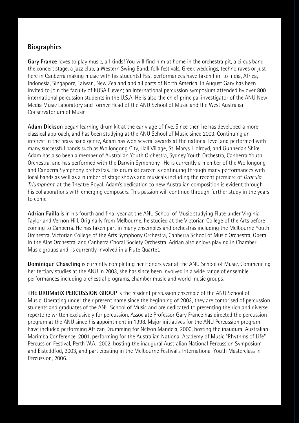## **Biographies**

**Gary France** loves to play music, all kinds! You will find him at home in the orchestra pit, a circus band, the concert stage, a jazz club, a Western Swing Band, folk festivals, Greek weddings, techno raves or just here in Canberra making music with his students! Past performances have taken him to India, Africa, Indonesia, Singapore, Taiwan, New Zealand and all parts of North America. In August Gary has been invited to join the faculty of KOSA Eleven; an international percussion symposium attended by over 800 international percussion students in the U.S.A. He is also the chief principal investigator of the ANU New Media Music Laboratory and former Head of the ANU School of Music and the West Australian Conservatorium of Music.

**Adam Dickson** began learning drum kit at the early age of five. Since then he has developed a more classical approach, and has been studying at the ANU School of Music since 2003. Continuing an interest in the brass band genre, Adam has won several awards at the national level and performed with many successful bands such as Wollongong City, Hall Village, St. Marys, Holroyd, and Gunnedah Shire. Adam has also been a member of Australian Youth Orchestra, Sydney Youth Orchestra, Canberra Youth Orchestra, and has performed with the Darwin Symphony. He is currently a member of the Wollongong and Canberra Symphony orchestras. His drum kit career is continuing through many performances with local bands as well as a number of stage shows and musicals including the recent premiere of *Dracula Triumphant*, at the Theatre Royal. Adam's dedication to new Australian composition is evident through his collaborations with emerging composers. This passion will continue through further study in the years to come.

**Adrian Failla** is in his fourth and final year at the ANU School of Music studying Flute under Virginia Taylor and Vernon Hill. Originally from Melbourne, he studied at the Victorian College of the Arts before coming to Canberra. He has taken part in many ensembles and orchestras including the Melbourne Youth Orchestra, Victorian College of the Arts Symphony Orchestra, Canberra School of Music Orchestra, Opera in the Alps Orchestra, and Canberra Choral Society Orchestra. Adrian also enjoys playing in Chamber Music groups and is currently involved in a Flute Quartet.

**Dominique Chaseling** is currently completing her Honors year at the ANU School of Music. Commencing her tertiary studies at the ANU in 2003, she has since been involved in a wide range of ensemble performances including orchestral programs, chamber music and world music groups.

**THE DRUMatiX PERCUSSION GROUP** is the resident percussion ensemble of the ANU School of Music. Operating under their present name since the beginning of 2003, they are comprised of percussion students and graduates of the ANU School of Music and are dedicated to presenting the rich and diverse repertoire written exclusively for percussion. Associate Professor Gary France has directed the percussion program at the ANU since his appointment in 1998. Major initiatives for the ANU Percussion program have included performing African Drumming for Nelson Mandela, 2000, hosting the inaugural Australian Marimba Conference, 2001, performing for the Australian National Academy of Music "Rhythms of Life" Percussion Festival, Perth W.A., 2002, hosting the inaugural Australian National Percussion Symposium and Eisteddfod, 2003, and participating in the Melbourne Festival's International Youth Masterclass in Percussion, 2006.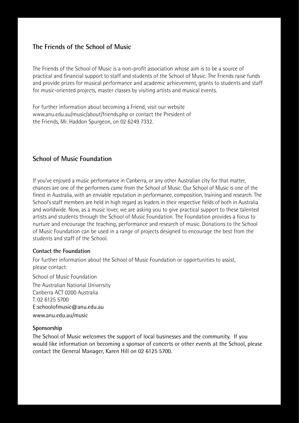## **The Friends of the School of Music**

The Friends of the School of Music is a non-profit association whose aim is to be a source of practical and financial support to staff and students of the School of Music. The Friends raise funds and provide prizes for musical performance and academic achievement, grants to students and staff for music-oriented projects, master classes by visiting artists and musical events.

For further information about becoming a Friend, visit our website www.anu.edu.au/music/about/friends.php or contact the President of the Friends, Mr. Haddon Spurgeon, on 02 6249 7332.

## **School of Music Foundation**

If you've enjoyed a music performance in Canberra, or any other Australian city for that matter, chances are one of the performers came from the School of Music. Our School of Music is one of the finest in Australia, with an enviable reputation in performance, composition, training and research. The School's staff members are held in high regard as leaders in their respective fields of both in Australia and worldwide. Now, as a music lover, we are asking you to give practical support to these talented artists and students through the School of Music Foundation. The Foundation provides a focus to nurture and encourage the teaching, performance and research of music. Donations to the School of Music Foundation can be used in a range of projects designed to encourage the best from the students and staff of the School.

## **Contact the Foundation**

For further information about the School of Music Foundation or opportunities to assist, please contact:

School of Music Foundation

The Australian National University Canberra ACT 0200 Australia T: 02 6125 5700 E:schoolofmusic@anu.edu.au www.anu.edu.au/music

## **Sponsorship**

The School of Music welcomes the support of local businesses and the community. If you would like information on becoming a sponsor of concerts or other events at the School, please contact the General Manager, Karen Hill on 02 6125 5700.